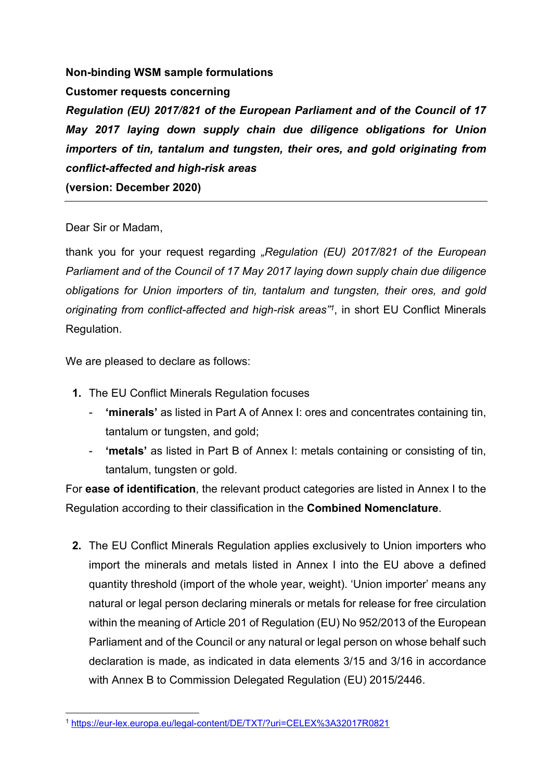## Non-binding WSM sample formulations

Customer requests concerning

Regulation (EU) 2017/821 of the European Parliament and of the Council of 17 May 2017 laying down supply chain due diligence obligations for Union importers of tin, tantalum and tungsten, their ores, and gold originating from conflict-affected and high-risk areas (version: December 2020)

## Dear Sir or Madam,

thank you for your request regarding "Regulation (EU) 2017/821 of the European Parliament and of the Council of 17 May 2017 laying down supply chain due diligence obligations for Union importers of tin, tantalum and tungsten, their ores, and gold originating from conflict-affected and high-risk areas<sup>71</sup>, in short EU Conflict Minerals Regulation.

We are pleased to declare as follows:

- 1. The EU Conflict Minerals Regulation focuses
	- 'minerals' as listed in Part A of Annex I: ores and concentrates containing tin, tantalum or tungsten, and gold;
	- 'metals' as listed in Part B of Annex I: metals containing or consisting of tin, tantalum, tungsten or gold.

For ease of identification, the relevant product categories are listed in Annex I to the Regulation according to their classification in the Combined Nomenclature.

2. The EU Conflict Minerals Regulation applies exclusively to Union importers who import the minerals and metals listed in Annex I into the EU above a defined quantity threshold (import of the whole year, weight). 'Union importer' means any natural or legal person declaring minerals or metals for release for free circulation within the meaning of Article 201 of Regulation (EU) No 952/2013 of the European Parliament and of the Council or any natural or legal person on whose behalf such declaration is made, as indicated in data elements 3/15 and 3/16 in accordance with Annex B to Commission Delegated Regulation (EU) 2015/2446.

<sup>1</sup> https://eur-lex.europa.eu/legal-content/DE/TXT/?uri=CELEX%3A32017R0821